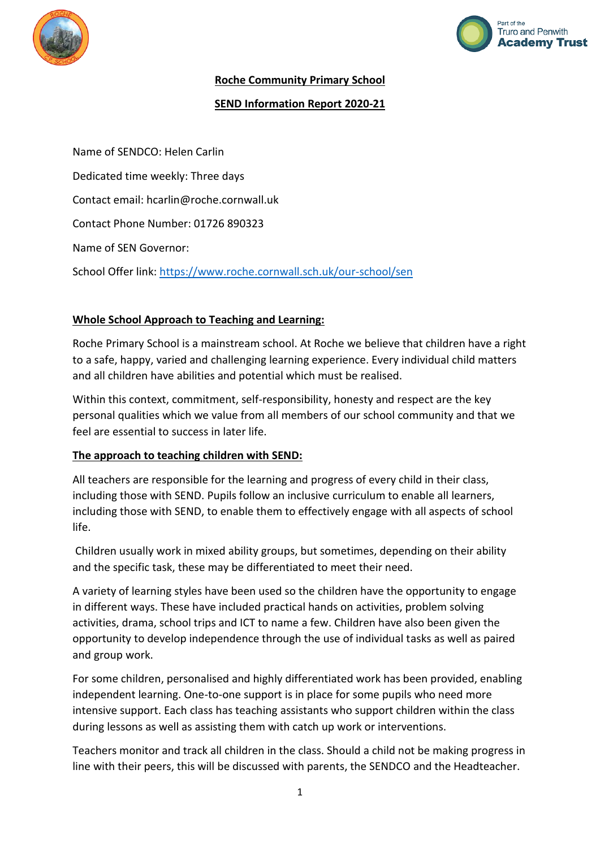



## **Roche Community Primary School**

## **SEND Information Report 2020-21**

Name of SENDCO: Helen Carlin Dedicated time weekly: Three days Contact email: hcarlin@roche.cornwall.uk Contact Phone Number: 01726 890323 Name of SEN Governor: School Offer link:<https://www.roche.cornwall.sch.uk/our-school/sen>

## **Whole School Approach to Teaching and Learning:**

Roche Primary School is a mainstream school. At Roche we believe that children have a right to a safe, happy, varied and challenging learning experience. Every individual child matters and all children have abilities and potential which must be realised.

Within this context, commitment, self-responsibility, honesty and respect are the key personal qualities which we value from all members of our school community and that we feel are essential to success in later life.

## **The approach to teaching children with SEND:**

All teachers are responsible for the learning and progress of every child in their class, including those with SEND. Pupils follow an inclusive curriculum to enable all learners, including those with SEND, to enable them to effectively engage with all aspects of school life.

Children usually work in mixed ability groups, but sometimes, depending on their ability and the specific task, these may be differentiated to meet their need.

A variety of learning styles have been used so the children have the opportunity to engage in different ways. These have included practical hands on activities, problem solving activities, drama, school trips and ICT to name a few. Children have also been given the opportunity to develop independence through the use of individual tasks as well as paired and group work.

For some children, personalised and highly differentiated work has been provided, enabling independent learning. One-to-one support is in place for some pupils who need more intensive support. Each class has teaching assistants who support children within the class during lessons as well as assisting them with catch up work or interventions.

Teachers monitor and track all children in the class. Should a child not be making progress in line with their peers, this will be discussed with parents, the SENDCO and the Headteacher.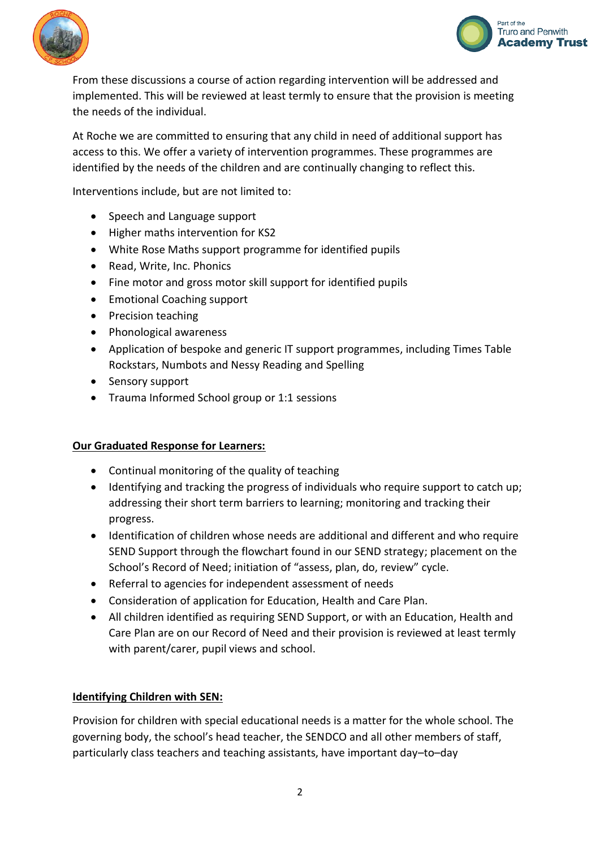



From these discussions a course of action regarding intervention will be addressed and implemented. This will be reviewed at least termly to ensure that the provision is meeting the needs of the individual.

At Roche we are committed to ensuring that any child in need of additional support has access to this. We offer a variety of intervention programmes. These programmes are identified by the needs of the children and are continually changing to reflect this.

Interventions include, but are not limited to:

- Speech and Language support
- Higher maths intervention for KS2
- White Rose Maths support programme for identified pupils
- Read, Write, Inc. Phonics
- Fine motor and gross motor skill support for identified pupils
- Emotional Coaching support
- Precision teaching
- Phonological awareness
- Application of bespoke and generic IT support programmes, including Times Table Rockstars, Numbots and Nessy Reading and Spelling
- Sensory support
- Trauma Informed School group or 1:1 sessions

#### **Our Graduated Response for Learners:**

- Continual monitoring of the quality of teaching
- Identifying and tracking the progress of individuals who require support to catch up; addressing their short term barriers to learning; monitoring and tracking their progress.
- Identification of children whose needs are additional and different and who require SEND Support through the flowchart found in our SEND strategy; placement on the School's Record of Need; initiation of "assess, plan, do, review" cycle.
- Referral to agencies for independent assessment of needs
- Consideration of application for Education, Health and Care Plan.
- All children identified as requiring SEND Support, or with an Education, Health and Care Plan are on our Record of Need and their provision is reviewed at least termly with parent/carer, pupil views and school.

#### **Identifying Children with SEN:**

Provision for children with special educational needs is a matter for the whole school. The governing body, the school's head teacher, the SENDCO and all other members of staff, particularly class teachers and teaching assistants, have important day–to–day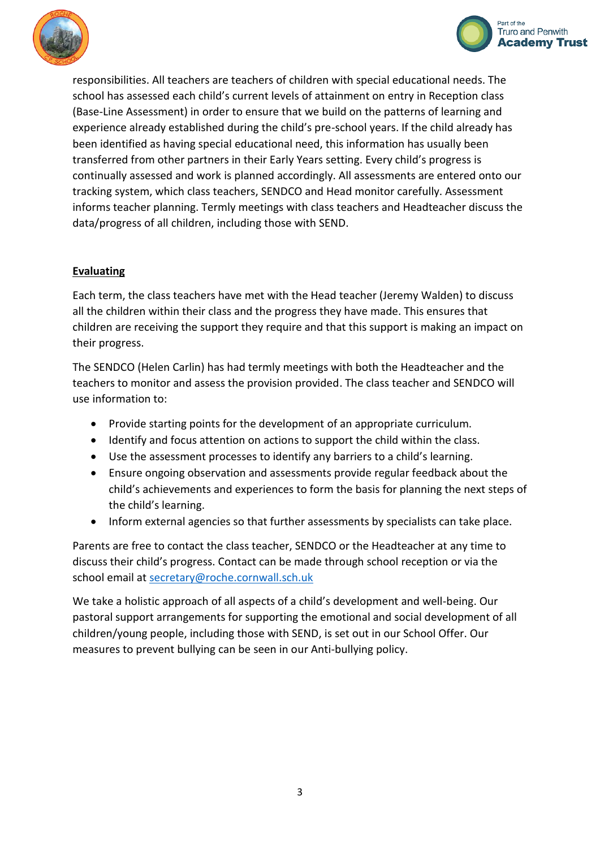



responsibilities. All teachers are teachers of children with special educational needs. The school has assessed each child's current levels of attainment on entry in Reception class (Base-Line Assessment) in order to ensure that we build on the patterns of learning and experience already established during the child's pre-school years. If the child already has been identified as having special educational need, this information has usually been transferred from other partners in their Early Years setting. Every child's progress is continually assessed and work is planned accordingly. All assessments are entered onto our tracking system, which class teachers, SENDCO and Head monitor carefully. Assessment informs teacher planning. Termly meetings with class teachers and Headteacher discuss the data/progress of all children, including those with SEND.

## **Evaluating**

Each term, the class teachers have met with the Head teacher (Jeremy Walden) to discuss all the children within their class and the progress they have made. This ensures that children are receiving the support they require and that this support is making an impact on their progress.

The SENDCO (Helen Carlin) has had termly meetings with both the Headteacher and the teachers to monitor and assess the provision provided. The class teacher and SENDCO will use information to:

- Provide starting points for the development of an appropriate curriculum.
- Identify and focus attention on actions to support the child within the class.
- Use the assessment processes to identify any barriers to a child's learning.
- Ensure ongoing observation and assessments provide regular feedback about the child's achievements and experiences to form the basis for planning the next steps of the child's learning.
- Inform external agencies so that further assessments by specialists can take place.

Parents are free to contact the class teacher, SENDCO or the Headteacher at any time to discuss their child's progress. Contact can be made through school reception or via the school email at [secretary@roche.cornwall.sch.uk](mailto:secretary@roche.cornwall.sch.uk)

We take a holistic approach of all aspects of a child's development and well-being. Our pastoral support arrangements for supporting the emotional and social development of all children/young people, including those with SEND, is set out in our School Offer. Our measures to prevent bullying can be seen in our Anti-bullying policy.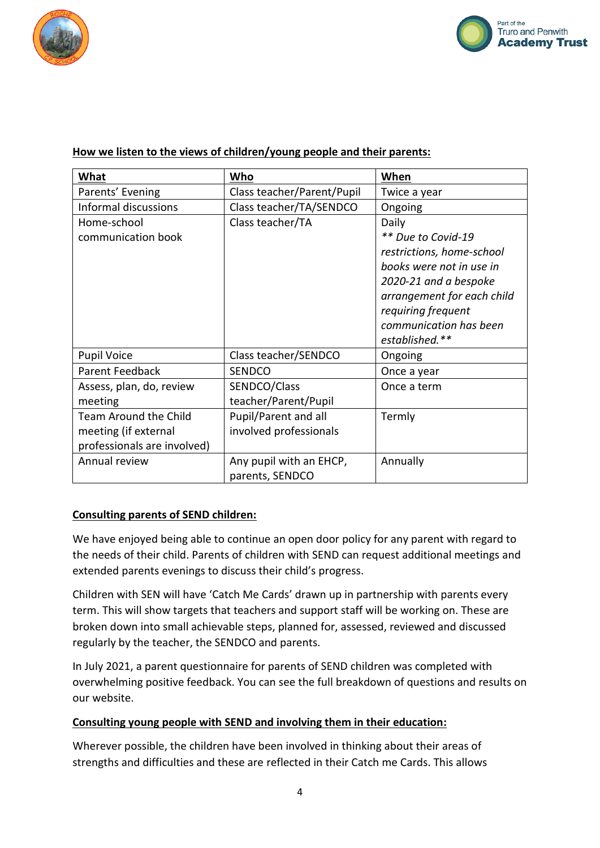



| What                         | Who                        | When                       |
|------------------------------|----------------------------|----------------------------|
| Parents' Evening             | Class teacher/Parent/Pupil | Twice a year               |
| Informal discussions         | Class teacher/TA/SENDCO    | Ongoing                    |
| Home-school                  | Class teacher/TA           | Daily                      |
| communication book           |                            | ** Due to Covid-19         |
|                              |                            | restrictions, home-school  |
|                              |                            | books were not in use in   |
|                              |                            | 2020-21 and a bespoke      |
|                              |                            | arrangement for each child |
|                              |                            | requiring frequent         |
|                              |                            | communication has been     |
|                              |                            | established.**             |
| <b>Pupil Voice</b>           | Class teacher/SENDCO       | Ongoing                    |
| Parent Feedback              | <b>SENDCO</b>              | Once a year                |
| Assess, plan, do, review     | SENDCO/Class               | Once a term                |
| meeting                      | teacher/Parent/Pupil       |                            |
| <b>Team Around the Child</b> | Pupil/Parent and all       | Termly                     |
| meeting (if external         | involved professionals     |                            |
| professionals are involved)  |                            |                            |
| Annual review                | Any pupil with an EHCP,    | Annually                   |
|                              | parents, SENDCO            |                            |

## **How we listen to the views of children/young people and their parents:**

#### **Consulting parents of SEND children:**

We have enjoyed being able to continue an open door policy for any parent with regard to the needs of their child. Parents of children with SEND can request additional meetings and extended parents evenings to discuss their child's progress.

Children with SEN will have 'Catch Me Cards' drawn up in partnership with parents every term. This will show targets that teachers and support staff will be working on. These are broken down into small achievable steps, planned for, assessed, reviewed and discussed regularly by the teacher, the SENDCO and parents.

In July 2021, a parent questionnaire for parents of SEND children was completed with overwhelming positive feedback. You can see the full breakdown of questions and results on our website.

#### **Consulting young people with SEND and involving them in their education:**

Wherever possible, the children have been involved in thinking about their areas of strengths and difficulties and these are reflected in their Catch me Cards. This allows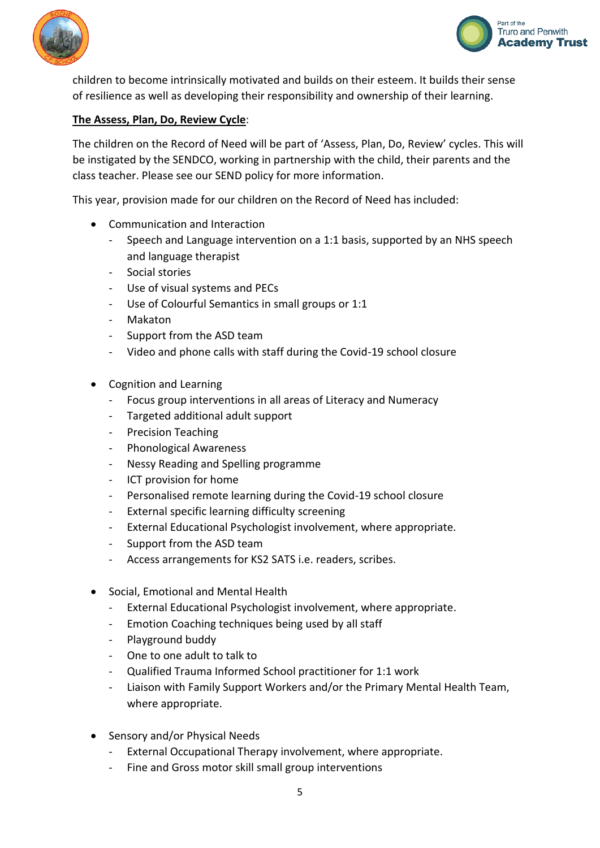



children to become intrinsically motivated and builds on their esteem. It builds their sense of resilience as well as developing their responsibility and ownership of their learning.

## **The Assess, Plan, Do, Review Cycle**:

The children on the Record of Need will be part of 'Assess, Plan, Do, Review' cycles. This will be instigated by the SENDCO, working in partnership with the child, their parents and the class teacher. Please see our SEND policy for more information.

This year, provision made for our children on the Record of Need has included:

- Communication and Interaction
	- Speech and Language intervention on a 1:1 basis, supported by an NHS speech and language therapist
	- Social stories
	- Use of visual systems and PECs
	- Use of Colourful Semantics in small groups or 1:1
	- Makaton
	- Support from the ASD team
	- Video and phone calls with staff during the Covid-19 school closure
- Cognition and Learning
	- Focus group interventions in all areas of Literacy and Numeracy
	- Targeted additional adult support
	- Precision Teaching
	- Phonological Awareness
	- Nessy Reading and Spelling programme
	- ICT provision for home
	- Personalised remote learning during the Covid-19 school closure
	- External specific learning difficulty screening
	- External Educational Psychologist involvement, where appropriate.
	- Support from the ASD team
	- Access arrangements for KS2 SATS i.e. readers, scribes.
- Social, Emotional and Mental Health
	- External Educational Psychologist involvement, where appropriate.
	- Emotion Coaching techniques being used by all staff
	- Playground buddy
	- One to one adult to talk to
	- Qualified Trauma Informed School practitioner for 1:1 work
	- Liaison with Family Support Workers and/or the Primary Mental Health Team, where appropriate.
- Sensory and/or Physical Needs
	- External Occupational Therapy involvement, where appropriate.
	- Fine and Gross motor skill small group interventions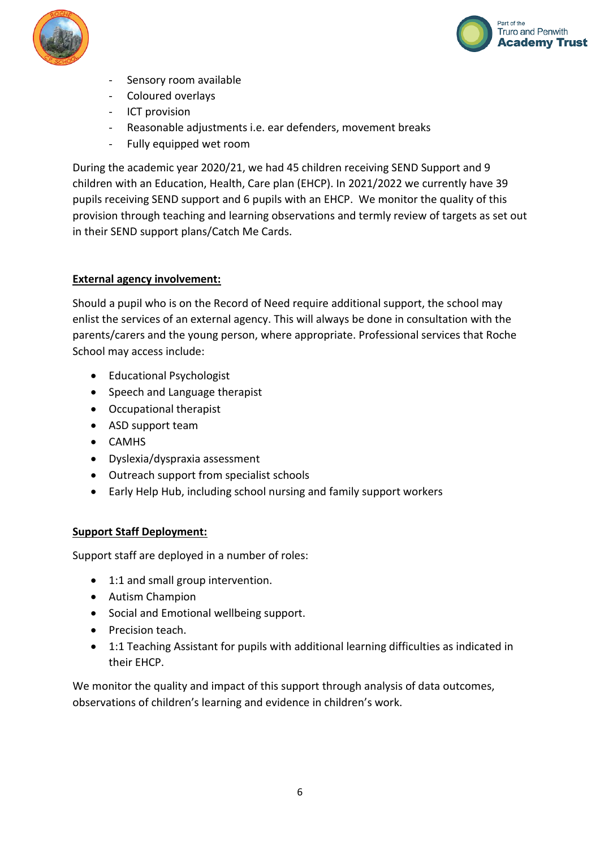



- Sensory room available
- Coloured overlays
- ICT provision
- Reasonable adjustments i.e. ear defenders, movement breaks
- Fully equipped wet room

During the academic year 2020/21, we had 45 children receiving SEND Support and 9 children with an Education, Health, Care plan (EHCP). In 2021/2022 we currently have 39 pupils receiving SEND support and 6 pupils with an EHCP. We monitor the quality of this provision through teaching and learning observations and termly review of targets as set out in their SEND support plans/Catch Me Cards.

## **External agency involvement:**

Should a pupil who is on the Record of Need require additional support, the school may enlist the services of an external agency. This will always be done in consultation with the parents/carers and the young person, where appropriate. Professional services that Roche School may access include:

- Educational Psychologist
- Speech and Language therapist
- Occupational therapist
- ASD support team
- CAMHS
- Dyslexia/dyspraxia assessment
- Outreach support from specialist schools
- Early Help Hub, including school nursing and family support workers

#### **Support Staff Deployment:**

Support staff are deployed in a number of roles:

- 1:1 and small group intervention.
- Autism Champion
- Social and Emotional wellbeing support.
- Precision teach.
- 1:1 Teaching Assistant for pupils with additional learning difficulties as indicated in their EHCP.

We monitor the quality and impact of this support through analysis of data outcomes, observations of children's learning and evidence in children's work.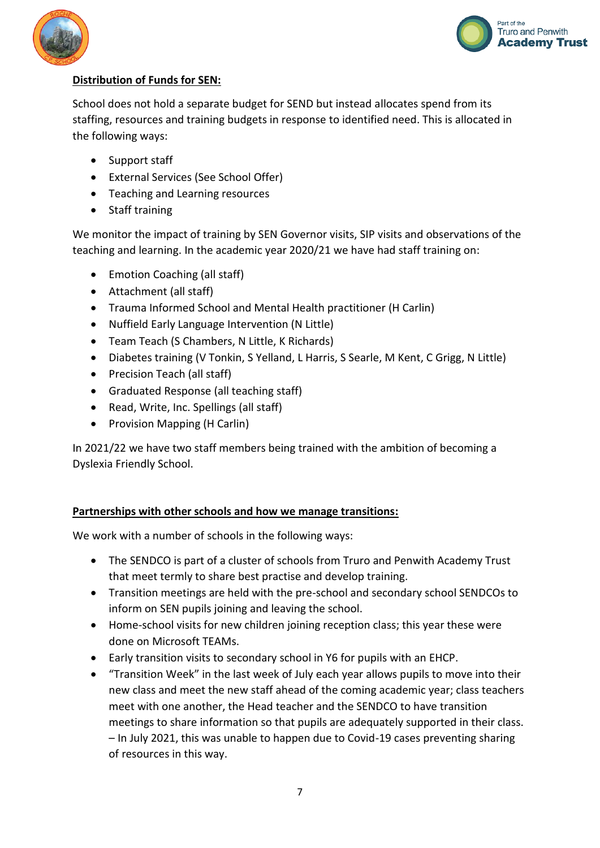



# **Distribution of Funds for SEN:**

School does not hold a separate budget for SEND but instead allocates spend from its staffing, resources and training budgets in response to identified need. This is allocated in the following ways:

- Support staff
- External Services (See School Offer)
- Teaching and Learning resources
- Staff training

We monitor the impact of training by SEN Governor visits, SIP visits and observations of the teaching and learning. In the academic year 2020/21 we have had staff training on:

- Emotion Coaching (all staff)
- Attachment (all staff)
- Trauma Informed School and Mental Health practitioner (H Carlin)
- Nuffield Early Language Intervention (N Little)
- Team Teach (S Chambers, N Little, K Richards)
- Diabetes training (V Tonkin, S Yelland, L Harris, S Searle, M Kent, C Grigg, N Little)
- Precision Teach (all staff)
- Graduated Response (all teaching staff)
- Read, Write, Inc. Spellings (all staff)
- Provision Mapping (H Carlin)

In 2021/22 we have two staff members being trained with the ambition of becoming a Dyslexia Friendly School.

## **Partnerships with other schools and how we manage transitions:**

We work with a number of schools in the following ways:

- The SENDCO is part of a cluster of schools from Truro and Penwith Academy Trust that meet termly to share best practise and develop training.
- Transition meetings are held with the pre-school and secondary school SENDCOs to inform on SEN pupils joining and leaving the school.
- Home-school visits for new children joining reception class; this year these were done on Microsoft TEAMs.
- Early transition visits to secondary school in Y6 for pupils with an EHCP.
- "Transition Week" in the last week of July each year allows pupils to move into their new class and meet the new staff ahead of the coming academic year; class teachers meet with one another, the Head teacher and the SENDCO to have transition meetings to share information so that pupils are adequately supported in their class. – In July 2021, this was unable to happen due to Covid-19 cases preventing sharing of resources in this way.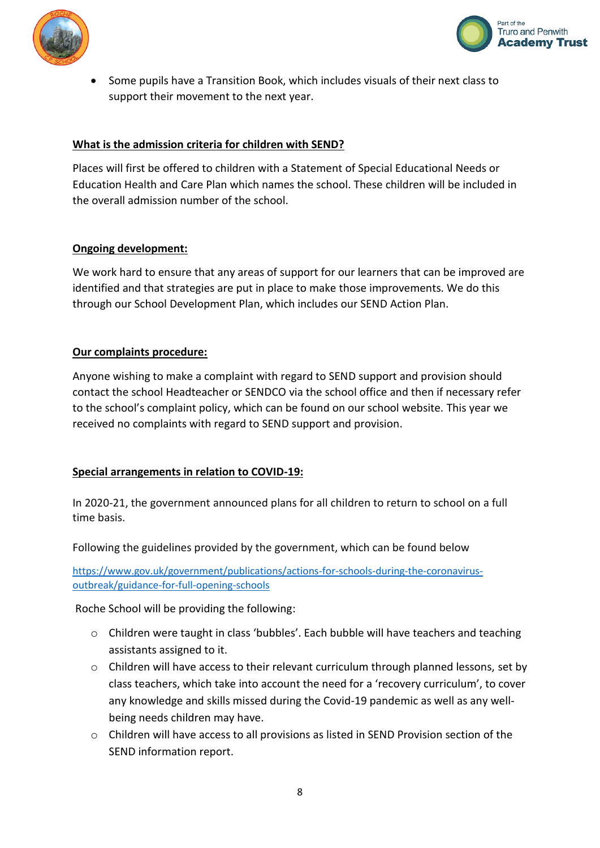



 Some pupils have a Transition Book, which includes visuals of their next class to support their movement to the next year.

## **What is the admission criteria for children with SEND?**

Places will first be offered to children with a Statement of Special Educational Needs or Education Health and Care Plan which names the school. These children will be included in the overall admission number of the school.

#### **Ongoing development:**

We work hard to ensure that any areas of support for our learners that can be improved are identified and that strategies are put in place to make those improvements. We do this through our School Development Plan, which includes our SEND Action Plan.

## **Our complaints procedure:**

Anyone wishing to make a complaint with regard to SEND support and provision should contact the school Headteacher or SENDCO via the school office and then if necessary refer to the school's complaint policy, which can be found on our school website. This year we received no complaints with regard to SEND support and provision.

## **Special arrangements in relation to COVID-19:**

In 2020-21, the government announced plans for all children to return to school on a full time basis.

Following the guidelines provided by the government, which can be found below

[https://www.gov.uk/government/publications/actions-for-schools-during-the-coronavirus](https://www.gov.uk/government/publications/actions-for-schools-during-the-coronavirus-outbreak/guidance-for-full-opening-schools)[outbreak/guidance-for-full-opening-schools](https://www.gov.uk/government/publications/actions-for-schools-during-the-coronavirus-outbreak/guidance-for-full-opening-schools)

Roche School will be providing the following:

- o Children were taught in class 'bubbles'. Each bubble will have teachers and teaching assistants assigned to it.
- o Children will have access to their relevant curriculum through planned lessons, set by class teachers, which take into account the need for a 'recovery curriculum', to cover any knowledge and skills missed during the Covid-19 pandemic as well as any wellbeing needs children may have.
- $\circ$  Children will have access to all provisions as listed in SEND Provision section of the SEND information report.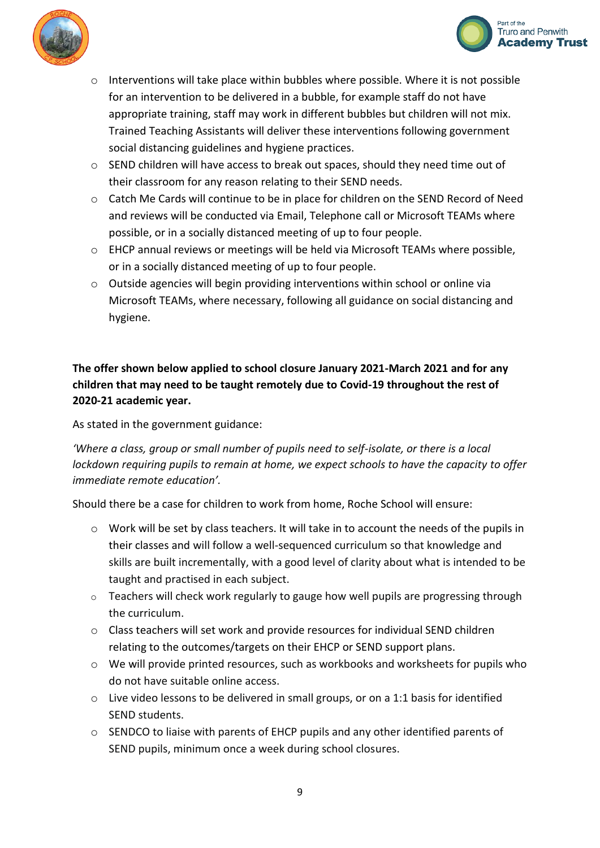



- o Interventions will take place within bubbles where possible. Where it is not possible for an intervention to be delivered in a bubble, for example staff do not have appropriate training, staff may work in different bubbles but children will not mix. Trained Teaching Assistants will deliver these interventions following government social distancing guidelines and hygiene practices.
- $\circ$  SEND children will have access to break out spaces, should they need time out of their classroom for any reason relating to their SEND needs.
- o Catch Me Cards will continue to be in place for children on the SEND Record of Need and reviews will be conducted via Email, Telephone call or Microsoft TEAMs where possible, or in a socially distanced meeting of up to four people.
- o EHCP annual reviews or meetings will be held via Microsoft TEAMs where possible, or in a socially distanced meeting of up to four people.
- $\circ$  Outside agencies will begin providing interventions within school or online via Microsoft TEAMs, where necessary, following all guidance on social distancing and hygiene.

# **The offer shown below applied to school closure January 2021-March 2021 and for any children that may need to be taught remotely due to Covid-19 throughout the rest of 2020-21 academic year.**

As stated in the government guidance:

*'Where a class, group or small number of pupils need to self-isolate, or there is a local lockdown requiring pupils to remain at home, we expect schools to have the capacity to offer immediate remote education'.*

Should there be a case for children to work from home, Roche School will ensure:

- $\circ$  Work will be set by class teachers. It will take in to account the needs of the pupils in their classes and will follow a well-sequenced curriculum so that knowledge and skills are built incrementally, with a good level of clarity about what is intended to be taught and practised in each subject.
- o Teachers will check work regularly to gauge how well pupils are progressing through the curriculum.
- o Class teachers will set work and provide resources for individual SEND children relating to the outcomes/targets on their EHCP or SEND support plans.
- o We will provide printed resources, such as workbooks and worksheets for pupils who do not have suitable online access.
- o Live video lessons to be delivered in small groups, or on a 1:1 basis for identified SEND students.
- o SENDCO to liaise with parents of EHCP pupils and any other identified parents of SEND pupils, minimum once a week during school closures.